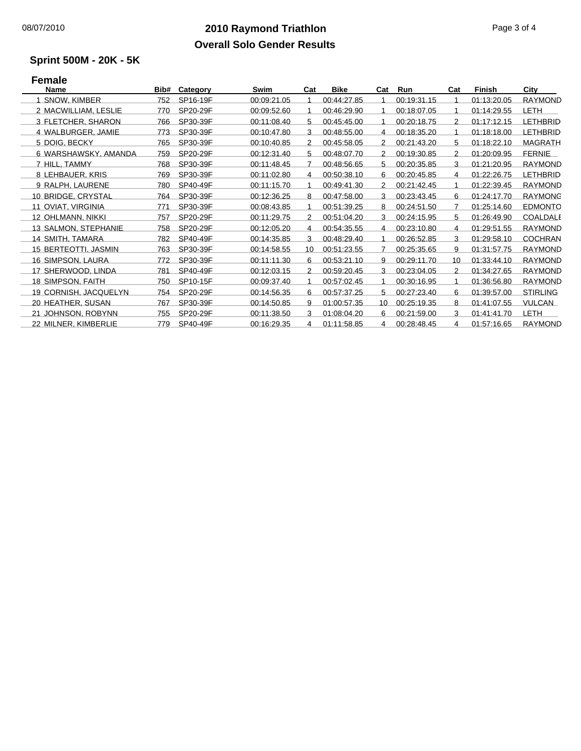#### **2010 Raymond Triathlon** 08/07/2010 Page 3 of 4 **Overall Solo Gender Results**

# **Sprint 500M - 20K - 5K**

## **Female**

| <b>Name</b>                 | Bib# | Category | Swim        | Cat | <b>Bike</b> | Cat | Run         | Cat | Finish      | City            |
|-----------------------------|------|----------|-------------|-----|-------------|-----|-------------|-----|-------------|-----------------|
| SNOW, KIMBER                | 752  | SP16-19F | 00:09:21.05 |     | 00:44:27.85 |     | 00:19:31.15 |     | 01:13:20.05 | <b>RAYMOND</b>  |
| 2 MACWILLIAM, LESLIE        | 770  | SP20-29F | 00:09:52.60 |     | 00:46:29.90 | 1   | 00:18:07.05 |     | 01:14:29.55 | <b>LETH</b>     |
| 3 FLETCHER, SHARON          | 766  | SP30-39F | 00:11:08.40 | 5   | 00:45:45.00 |     | 00:20:18.75 | 2   | 01:17:12.15 | <b>LETHBRID</b> |
| 4 WALBURGER, JAMIE          | 773  | SP30-39F | 00:10:47.80 | 3   | 00:48:55.00 | 4   | 00:18:35.20 |     | 01:18:18.00 | <b>LETHBRID</b> |
| 5 DOIG, BECKY               | 765  | SP30-39F | 00:10:40.85 | 2   | 00:45:58.05 | 2   | 00:21:43.20 | 5   | 01:18:22.10 | <b>MAGRATH</b>  |
| 6 WARSHAWSKY, AMANDA        | 759  | SP20-29F | 00:12:31.40 | 5   | 00:48:07.70 | 2   | 00:19:30.85 | 2   | 01:20:09.95 | <b>FERNIE</b>   |
| 7 HILL, TAMMY               | 768  | SP30-39F | 00:11:48.45 |     | 00:48:56.65 | 5   | 00:20:35.85 | 3   | 01:21:20.95 | <b>RAYMOND</b>  |
| 8 LEHBAUER, KRIS            | 769  | SP30-39F | 00:11:02.80 | 4   | 00:50:38.10 | 6   | 00:20:45.85 | 4   | 01:22:26.75 | <b>LETHBRID</b> |
| 9 RALPH, LAURENE            | 780  | SP40-49F | 00:11:15.70 |     | 00:49:41.30 | 2   | 00:21:42.45 |     | 01:22:39.45 | <b>RAYMOND</b>  |
| 10 BRIDGE, CRYSTAL          | 764  | SP30-39F | 00:12:36.25 | 8   | 00:47:58.00 | 3   | 00:23:43.45 | 6   | 01:24:17.70 | <b>RAYMONG</b>  |
| 11 OVIAT, VIRGINIA          | 771  | SP30-39F | 00:08:43.85 |     | 00:51:39.25 | 8   | 00:24:51.50 |     | 01:25:14.60 | <b>EDMONTO</b>  |
| 12 OHLMANN, NIKKI           | 757  | SP20-29F | 00:11:29.75 | 2   | 00:51:04.20 | 3   | 00:24:15.95 | 5   | 01:26:49.90 | <b>COALDALE</b> |
| 13 SALMON, STEPHANIE        | 758  | SP20-29F | 00:12:05.20 | 4   | 00:54:35.55 | 4   | 00:23:10.80 | 4   | 01:29:51.55 | <b>RAYMOND</b>  |
| 14 SMITH, TAMARA            | 782  | SP40-49F | 00:14:35.85 | 3   | 00:48:29.40 |     | 00:26:52.85 | 3   | 01:29:58.10 | <b>COCHRAN</b>  |
| <b>15 BERTEOTTI, JASMIN</b> | 763  | SP30-39F | 00:14:58.55 | 10  | 00:51:23.55 |     | 00:25:35.65 | 9   | 01:31:57.75 | <b>RAYMOND</b>  |
| 16 SIMPSON, LAURA           | 772  | SP30-39F | 00:11:11.30 | 6   | 00:53:21.10 | 9   | 00:29:11.70 | 10  | 01:33:44.10 | <b>RAYMOND</b>  |
| 17 SHERWOOD, LINDA          | 781  | SP40-49F | 00:12:03.15 | 2   | 00:59:20.45 | 3   | 00:23:04.05 | 2   | 01:34:27.65 | RAYMOND         |
| 18 SIMPSON, FAITH           | 750  | SP10-15F | 00:09:37.40 |     | 00:57:02.45 |     | 00:30:16.95 |     | 01:36:56.80 | <b>RAYMOND</b>  |
| 19 CORNISH, JACQUELYN       | 754  | SP20-29F | 00:14:56.35 | 6   | 00:57:37.25 | 5   | 00:27:23.40 | 6   | 01:39:57.00 | <b>STIRLING</b> |
| 20 HEATHER, SUSAN           | 767  | SP30-39F | 00:14:50.85 | 9   | 01:00:57.35 | 10  | 00:25:19.35 | 8   | 01:41:07.55 | VULCAN          |
| 21 JOHNSON, ROBYNN          | 755  | SP20-29F | 00:11:38.50 | 3   | 01:08:04.20 | 6   | 00:21:59.00 | 3   | 01:41:41.70 | <b>LETH</b>     |
| 22 MILNER, KIMBERLIE        | 779  | SP40-49F | 00:16:29.35 | 4   | 01:11:58.85 | 4   | 00:28:48.45 | 4   | 01:57:16.65 | <b>RAYMOND</b>  |